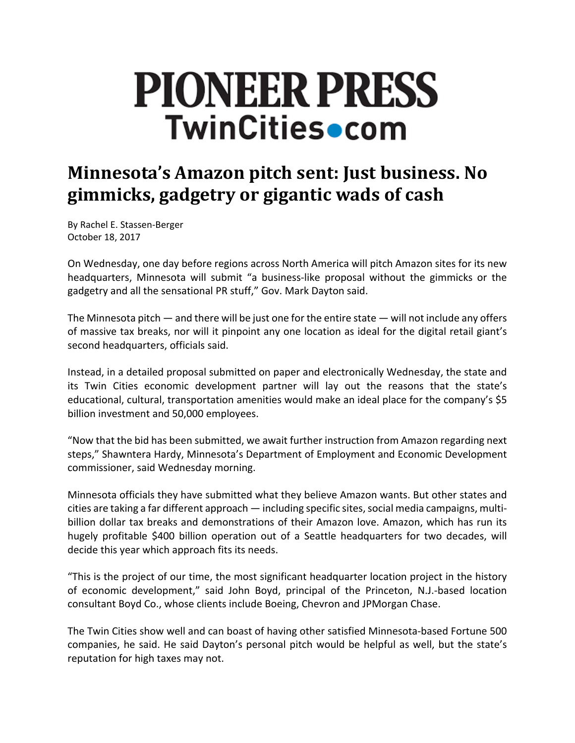# **PIONEER PRESS TwinCities•com**

## **Minnesota's Amazon pitch sent: Just business. No gimmicks, gadgetry or gigantic wads of cash**

By Rachel E. Stassen‐Berger October 18, 2017

On Wednesday, one day before regions across North America will pitch Amazon sites for its new headquarters, Minnesota will submit "a business-like proposal without the gimmicks or the gadgetry and all the sensational PR stuff," Gov. Mark Dayton said.

The Minnesota pitch — and there will be just one for the entire state — will not include any offers of massive tax breaks, nor will it pinpoint any one location as ideal for the digital retail giant's second headquarters, officials said.

Instead, in a detailed proposal submitted on paper and electronically Wednesday, the state and its Twin Cities economic development partner will lay out the reasons that the state's educational, cultural, transportation amenities would make an ideal place for the company's \$5 billion investment and 50,000 employees.

"Now that the bid has been submitted, we await further instruction from Amazon regarding next steps," Shawntera Hardy, Minnesota's Department of Employment and Economic Development commissioner, said Wednesday morning.

Minnesota officials they have submitted what they believe Amazon wants. But other states and cities are taking a far different approach — including specific sites, social media campaigns, multibillion dollar tax breaks and demonstrations of their Amazon love. Amazon, which has run its hugely profitable \$400 billion operation out of a Seattle headquarters for two decades, will decide this year which approach fits its needs.

"This is the project of our time, the most significant headquarter location project in the history of economic development," said John Boyd, principal of the Princeton, N.J.‐based location consultant Boyd Co., whose clients include Boeing, Chevron and JPMorgan Chase.

The Twin Cities show well and can boast of having other satisfied Minnesota‐based Fortune 500 companies, he said. He said Dayton's personal pitch would be helpful as well, but the state's reputation for high taxes may not.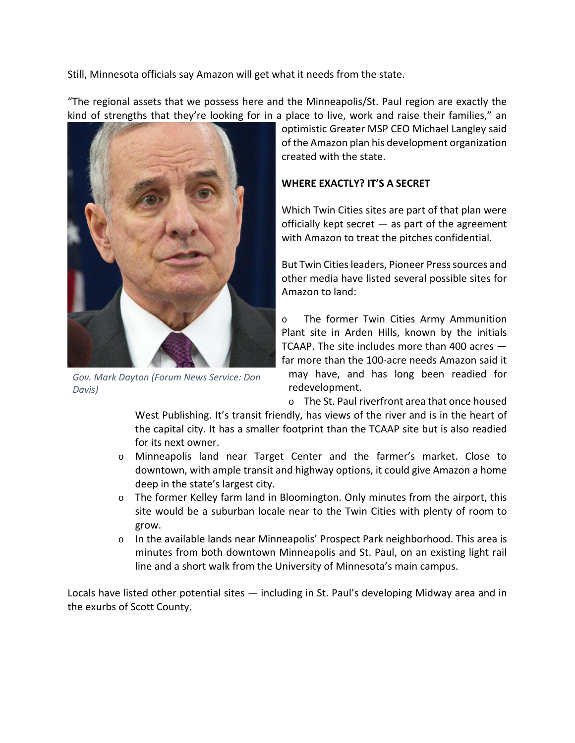Still, Minnesota officials say Amazon will get what it needs from the state.

"The regional assets that we possess here and the Minneapolis/St. Paul region are exactly the kind of strengths that they're looking for in a place to live, work and raise their families," an



*Gov. Mark Dayton (Forum News Service: Don Davis)*

optimistic Greater MSP CEO Michael Langley said of the Amazon plan his development organization created with the state.

#### **WHERE EXACTLY? IT'S A SECRET**

Which Twin Cities sites are part of that plan were officially kept secret — as part of the agreement with Amazon to treat the pitches confidential.

But Twin Cities leaders, Pioneer Press sources and other media have listed several possible sites for Amazon to land:

o The former Twin Cities Army Ammunition Plant site in Arden Hills, known by the initials TCAAP. The site includes more than 400 acres far more than the 100‐acre needs Amazon said it may have, and has long been readied for redevelopment.

o The St. Paul riverfront area that once housed

West Publishing. It's transit friendly, has views of the river and is in the heart of the capital city. It has a smaller footprint than the TCAAP site but is also readied for its next owner.

- o Minneapolis land near Target Center and the farmer's market. Close to downtown, with ample transit and highway options, it could give Amazon a home deep in the state's largest city.
- $\circ$  The former Kelley farm land in Bloomington. Only minutes from the airport, this site would be a suburban locale near to the Twin Cities with plenty of room to grow.
- $\circ$  In the available lands near Minneapolis' Prospect Park neighborhood. This area is minutes from both downtown Minneapolis and St. Paul, on an existing light rail line and a short walk from the University of Minnesota's main campus.

Locals have listed other potential sites — including in St. Paul's developing Midway area and in the exurbs of Scott County.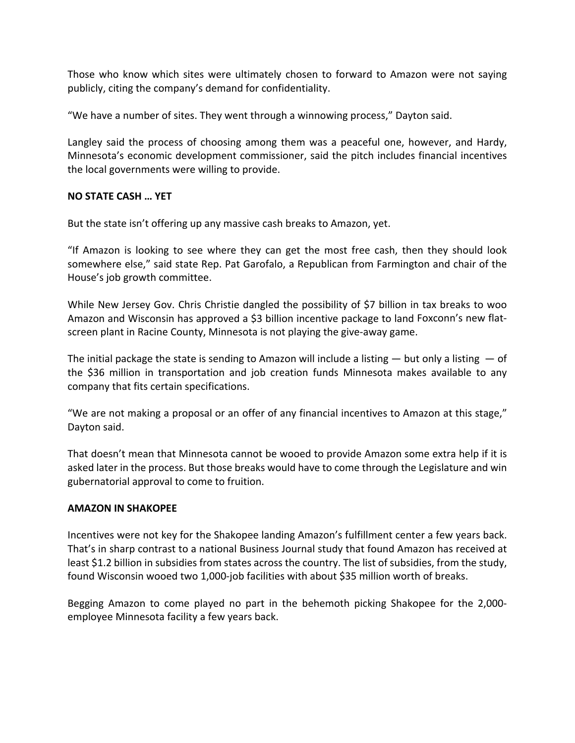Those who know which sites were ultimately chosen to forward to Amazon were not saying publicly, citing the company's demand for confidentiality.

"We have a number of sites. They went through a winnowing process," Dayton said.

Langley said the process of choosing among them was a peaceful one, however, and Hardy, Minnesota's economic development commissioner, said the pitch includes financial incentives the local governments were willing to provide.

### **NO STATE CASH … YET**

But the state isn't offering up any massive cash breaks to Amazon, yet.

"If Amazon is looking to see where they can get the most free cash, then they should look somewhere else," said state Rep. Pat Garofalo, a Republican from Farmington and chair of the House's job growth committee.

While New Jersey Gov. Chris Christie dangled the possibility of \$7 billion in tax breaks to woo Amazon and Wisconsin has approved a \$3 billion incentive package to land Foxconn's new flat‐ screen plant in Racine County, Minnesota is not playing the give‐away game.

The initial package the state is sending to Amazon will include a listing  $-$  but only a listing  $-$  of the \$36 million in transportation and job creation funds Minnesota makes available to any company that fits certain specifications.

"We are not making a proposal or an offer of any financial incentives to Amazon at this stage," Dayton said.

That doesn't mean that Minnesota cannot be wooed to provide Amazon some extra help if it is asked later in the process. But those breaks would have to come through the Legislature and win gubernatorial approval to come to fruition.

#### **AMAZON IN SHAKOPEE**

Incentives were not key for the Shakopee landing Amazon's fulfillment center a few years back. That's in sharp contrast to a national Business Journal study that found Amazon has received at least \$1.2 billion in subsidies from states across the country. The list of subsidies, from the study, found Wisconsin wooed two 1,000‐job facilities with about \$35 million worth of breaks.

Begging Amazon to come played no part in the behemoth picking Shakopee for the 2,000‐ employee Minnesota facility a few years back.